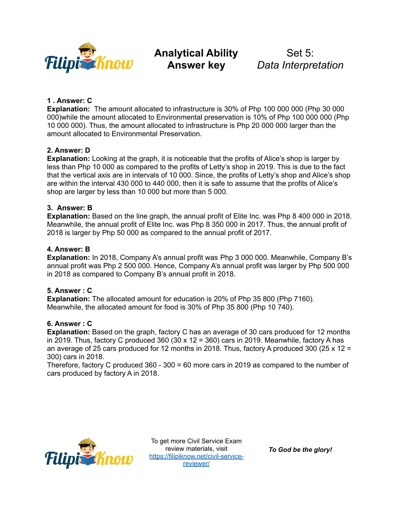

# **Analytical Ability Answer key**

Set 5: *Data Interpretation*

## **1 . Answer: C**

**Explanation:** The amount allocated to infrastructure is 30% of Php 100 000 000 (Php 30 000 000)while the amount allocated to Environmental preservation is 10% of Php 100 000 000 (Php 10 000 000). Thus, the amount allocated to infrastructure is Php 20 000 000 larger than the amount allocated to Environmental Preservation.

## **2. Answer: D**

**Explanation:** Looking at the graph, it is noticeable that the profits of Alice's shop is larger by less than Php 10 000 as compared to the profits of Letty's shop in 2019. This is due to the fact that the vertical axis are in intervals of 10 000. Since, the profits of Letty's shop and Alice's shop are within the interval 430 000 to 440 000, then it is safe to assume that the profits of Alice's shop are larger by less than 10 000 but more than 5 000.

## **3. Answer: B**

**Explanation:** Based on the line graph, the annual profit of Elite Inc. was Php 8 400 000 in 2018. Meanwhile, the annual profit of Elite Inc. was Php 8 350 000 in 2017. Thus, the annual profit of 2018 is larger by Php 50 000 as compared to the annual profit of 2017.

## **4. Answer: B**

**Explanation:** In 2018, Company A's annual profit was Php 3 000 000. Meanwhile, Company B's annual profit was Php 2 500 000. Hence, Company A's annual profit was larger by Php 500 000 in 2018 as compared to Company B's annual profit in 2018.

#### **5. Answer : C**

**Explanation:** The allocated amount for education is 20% of Php 35 800 (Php 7160). Meanwhile, the allocated amount for food is 30% of Php 35 800 (Php 10 740).

#### **6. Answer : C**

**Explanation:** Based on the graph, factory C has an average of 30 cars produced for 12 months in 2019. Thus, factory C produced 360 (30  $\times$  12 = 360) cars in 2019. Meanwhile, factory A has an average of 25 cars produced for 12 months in 2018. Thus, factory A produced 300 (25 x 12 = 300) cars in 2018.

Therefore, factory C produced 360 - 300 = 60 more cars in 2019 as compared to the number of cars produced by factory A in 2018.



To get more Civil Service Exam review materials, visit [https://filipiknow.net/civil-service](https://filipiknow.net/civil-service-reviewer/)[reviewer/](https://filipiknow.net/civil-service-reviewer/)

*To God be the glory!*